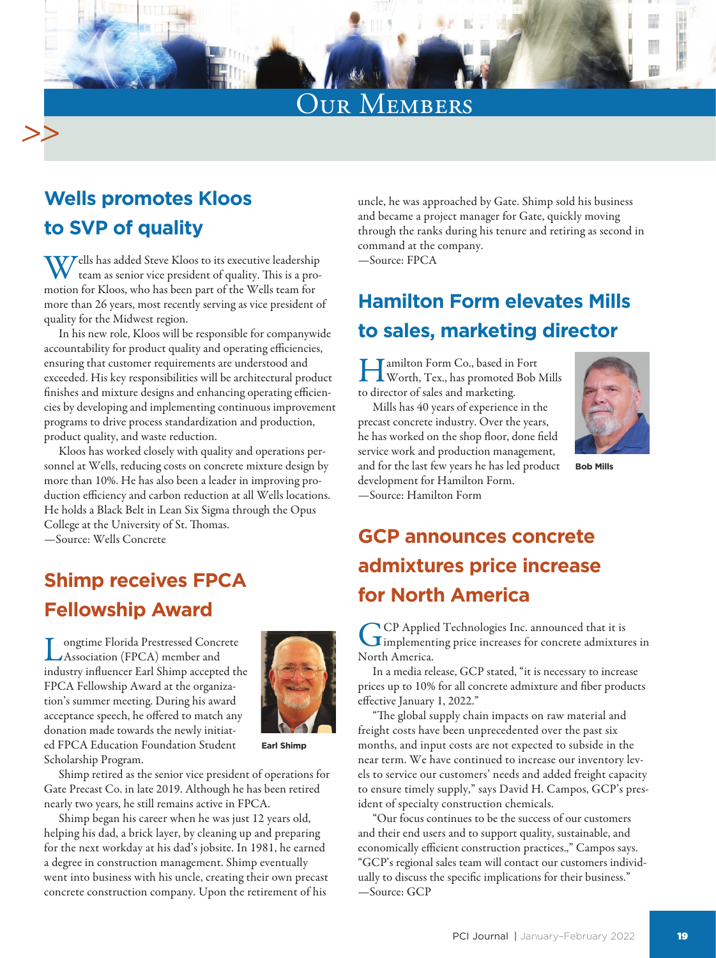# Our Members

## **Wells promotes Kloos to SVP of quality**

Wells has added Steve Kloos to its executive leadership team as senior vice president of quality. This is a promotion for Kloos, who has been part of the Wells team for more than 26 years, most recently serving as vice president of quality for the Midwest region.

In his new role, Kloos will be responsible for companywide accountability for product quality and operating efficiencies, ensuring that customer requirements are understood and exceeded. His key responsibilities will be architectural product finishes and mixture designs and enhancing operating efficiencies by developing and implementing continuous improvement programs to drive process standardization and production, product quality, and waste reduction.

Kloos has worked closely with quality and operations personnel at Wells, reducing costs on concrete mixture design by more than 10%. He has also been a leader in improving production efficiency and carbon reduction at all Wells locations. He holds a Black Belt in Lean Six Sigma through the Opus College at the University of St. Thomas. —Source: Wells Concrete

**Shimp receives FPCA Fellowship Award**

Longtime Florida Prestressed Concrete Association (FPCA) member and industry influencer Earl Shimp accepted the FPCA Fellowship Award at the organization's summer meeting. During his award acceptance speech, he offered to match any donation made towards the newly initiated FPCA Education Foundation Student Scholarship Program.



**Earl Shimp**

Shimp retired as the senior vice president of operations for Gate Precast Co. in late 2019. Although he has been retired nearly two years, he still remains active in FPCA.

Shimp began his career when he was just 12 years old, helping his dad, a brick layer, by cleaning up and preparing for the next workday at his dad's jobsite. In 1981, he earned a degree in construction management. Shimp eventually went into business with his uncle, creating their own precast concrete construction company. Upon the retirement of his

uncle, he was approached by Gate. Shimp sold his business and became a project manager for Gate, quickly moving through the ranks during his tenure and retiring as second in command at the company.

—Source: FPCA

## **Hamilton Form elevates Mills to sales, marketing director**

Hamilton Form Co., based in Fort Worth, Tex., has promoted Bob Mills to director of sales and marketing.

Mills has 40 years of experience in the precast concrete industry. Over the years, he has worked on the shop floor, done field service work and production management, and for the last few years he has led product development for Hamilton Form. —Source: Hamilton Form



**Bob Mills**

## **GCP announces concrete admixtures price increase for North America**

GCP Applied Technologies Inc. announced that it is<br>
implementing price increases for concrete admixtures in North America.

In a media release, GCP stated, "it is necessary to increase prices up to 10% for all concrete admixture and fiber products effective January 1, 2022."

"The global supply chain impacts on raw material and freight costs have been unprecedented over the past six months, and input costs are not expected to subside in the near term. We have continued to increase our inventory levels to service our customers' needs and added freight capacity to ensure timely supply," says David H. Campos, GCP's president of specialty construction chemicals.

"Our focus continues to be the success of our customers and their end users and to support quality, sustainable, and economically efficient construction practices.," Campos says. "GCP's regional sales team will contact our customers individually to discuss the specific implications for their business." —Source: GCP